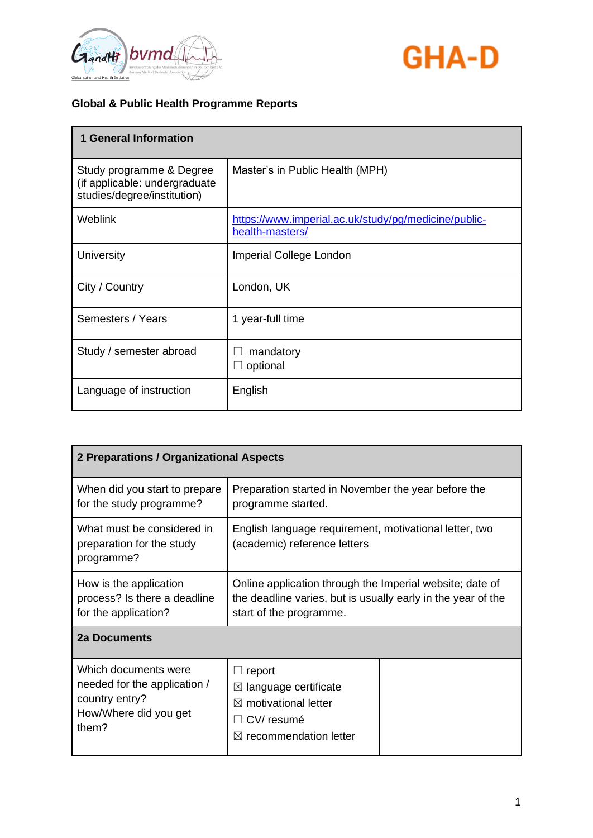



| <b>1 General Information</b>                                                             |                                                                         |
|------------------------------------------------------------------------------------------|-------------------------------------------------------------------------|
| Study programme & Degree<br>(if applicable: undergraduate<br>studies/degree/institution) | Master's in Public Health (MPH)                                         |
| Weblink                                                                                  | https://www.imperial.ac.uk/study/pg/medicine/public-<br>health-masters/ |
| University                                                                               | <b>Imperial College London</b>                                          |
| City / Country                                                                           | London, UK                                                              |
| Semesters / Years                                                                        | 1 year-full time                                                        |
| Study / semester abroad                                                                  | mandatory<br>optional                                                   |
| Language of instruction                                                                  | English                                                                 |

| 2 Preparations / Organizational Aspects                                                                  |                                                                                                                                                     |  |
|----------------------------------------------------------------------------------------------------------|-----------------------------------------------------------------------------------------------------------------------------------------------------|--|
| When did you start to prepare<br>for the study programme?                                                | Preparation started in November the year before the<br>programme started.                                                                           |  |
| What must be considered in<br>preparation for the study<br>programme?                                    | English language requirement, motivational letter, two<br>(academic) reference letters                                                              |  |
| How is the application<br>process? Is there a deadline<br>for the application?                           | Online application through the Imperial website; date of<br>the deadline varies, but is usually early in the year of the<br>start of the programme. |  |
| 2a Documents                                                                                             |                                                                                                                                                     |  |
| Which documents were<br>needed for the application /<br>country entry?<br>How/Where did you get<br>them? | report<br>$\boxtimes$ language certificate<br>$\boxtimes$ motivational letter<br>CV/resumé<br>recommendation letter<br>$\boxtimes$                  |  |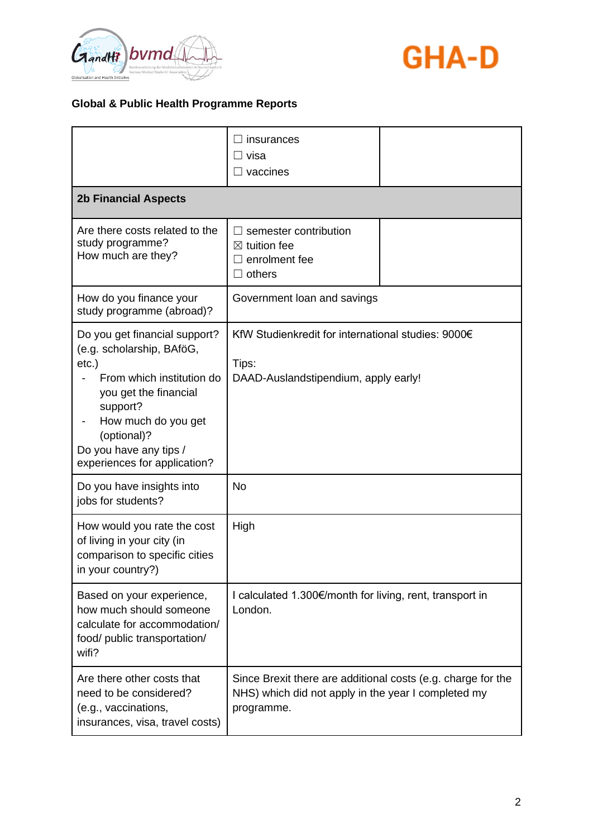



|                                                                                                                                                                                                                                          | insurances<br>visa<br>vaccines                                                                                                    |  |
|------------------------------------------------------------------------------------------------------------------------------------------------------------------------------------------------------------------------------------------|-----------------------------------------------------------------------------------------------------------------------------------|--|
| <b>2b Financial Aspects</b>                                                                                                                                                                                                              |                                                                                                                                   |  |
| Are there costs related to the<br>study programme?<br>How much are they?                                                                                                                                                                 | semester contribution<br>$\boxtimes$ tuition fee<br>enrolment fee<br>others                                                       |  |
| How do you finance your<br>study programme (abroad)?                                                                                                                                                                                     | Government loan and savings                                                                                                       |  |
| Do you get financial support?<br>(e.g. scholarship, BAföG,<br>$etc.$ )<br>From which institution do<br>you get the financial<br>support?<br>How much do you get<br>(optional)?<br>Do you have any tips /<br>experiences for application? | KfW Studienkredit for international studies: 9000€<br>Tips:<br>DAAD-Auslandstipendium, apply early!                               |  |
| Do you have insights into<br>jobs for students?                                                                                                                                                                                          | <b>No</b>                                                                                                                         |  |
| How would you rate the cost<br>of living in your city (in<br>comparison to specific cities<br>in your country?)                                                                                                                          | High                                                                                                                              |  |
| Based on your experience,<br>how much should someone<br>calculate for accommodation/<br>food/ public transportation/<br>wifi?                                                                                                            | I calculated 1.300€/month for living, rent, transport in<br>London.                                                               |  |
| Are there other costs that<br>need to be considered?<br>(e.g., vaccinations,<br>insurances, visa, travel costs)                                                                                                                          | Since Brexit there are additional costs (e.g. charge for the<br>NHS) which did not apply in the year I completed my<br>programme. |  |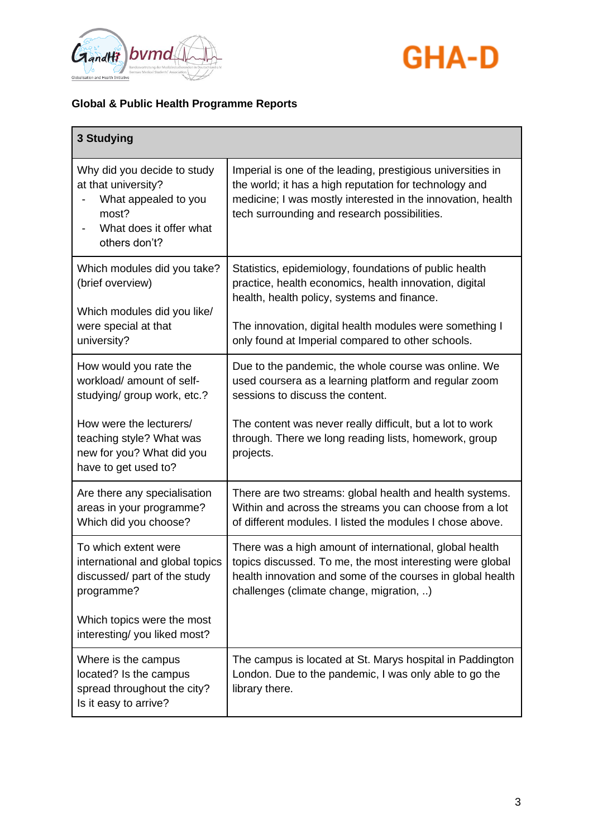



| <b>3 Studying</b>                                                                                                                                                                              |                                                                                                                                                                                                                                                                                      |
|------------------------------------------------------------------------------------------------------------------------------------------------------------------------------------------------|--------------------------------------------------------------------------------------------------------------------------------------------------------------------------------------------------------------------------------------------------------------------------------------|
| Why did you decide to study<br>at that university?<br>What appealed to you<br>most?<br>What does it offer what<br>others don't?                                                                | Imperial is one of the leading, prestigious universities in<br>the world; it has a high reputation for technology and<br>medicine; I was mostly interested in the innovation, health<br>tech surrounding and research possibilities.                                                 |
| Which modules did you take?<br>(brief overview)<br>Which modules did you like/<br>were special at that<br>university?                                                                          | Statistics, epidemiology, foundations of public health<br>practice, health economics, health innovation, digital<br>health, health policy, systems and finance.<br>The innovation, digital health modules were something I<br>only found at Imperial compared to other schools.      |
| How would you rate the<br>workload/ amount of self-<br>studying/ group work, etc.?<br>How were the lecturers/<br>teaching style? What was<br>new for you? What did you<br>have to get used to? | Due to the pandemic, the whole course was online. We<br>used coursera as a learning platform and regular zoom<br>sessions to discuss the content.<br>The content was never really difficult, but a lot to work<br>through. There we long reading lists, homework, group<br>projects. |
| Are there any specialisation<br>areas in your programme?<br>Which did you choose?                                                                                                              | There are two streams: global health and health systems.<br>Within and across the streams you can choose from a lot<br>of different modules. I listed the modules I chose above.                                                                                                     |
| To which extent were<br>international and global topics<br>discussed/ part of the study<br>programme?<br>Which topics were the most<br>interesting/you liked most?                             | There was a high amount of international, global health<br>topics discussed. To me, the most interesting were global<br>health innovation and some of the courses in global health<br>challenges (climate change, migration, )                                                       |
| Where is the campus<br>located? Is the campus<br>spread throughout the city?<br>Is it easy to arrive?                                                                                          | The campus is located at St. Marys hospital in Paddington<br>London. Due to the pandemic, I was only able to go the<br>library there.                                                                                                                                                |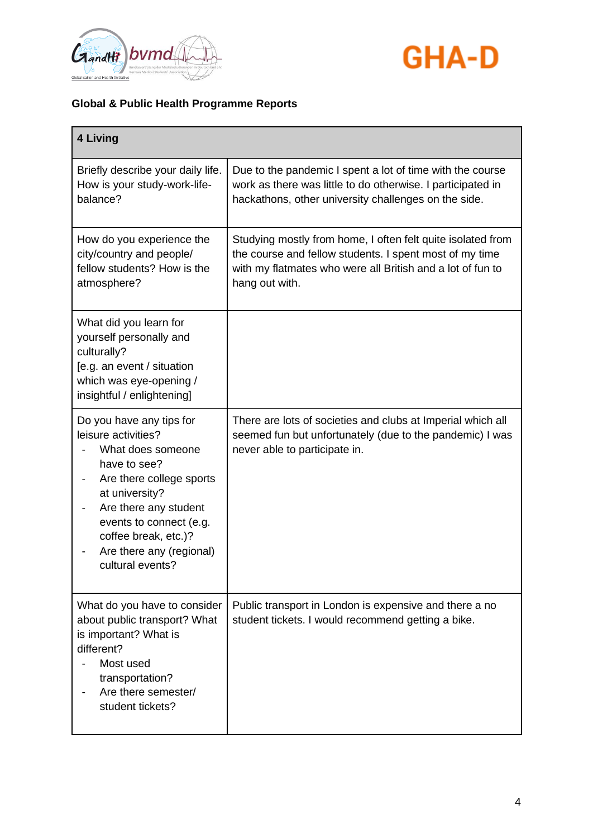



| 4 Living                                                                                                                                                                                                                                                       |                                                                                                                                                                                                        |
|----------------------------------------------------------------------------------------------------------------------------------------------------------------------------------------------------------------------------------------------------------------|--------------------------------------------------------------------------------------------------------------------------------------------------------------------------------------------------------|
| Briefly describe your daily life.<br>How is your study-work-life-<br>balance?                                                                                                                                                                                  | Due to the pandemic I spent a lot of time with the course<br>work as there was little to do otherwise. I participated in<br>hackathons, other university challenges on the side.                       |
| How do you experience the<br>city/country and people/<br>fellow students? How is the<br>atmosphere?                                                                                                                                                            | Studying mostly from home, I often felt quite isolated from<br>the course and fellow students. I spent most of my time<br>with my flatmates who were all British and a lot of fun to<br>hang out with. |
| What did you learn for<br>yourself personally and<br>culturally?<br>[e.g. an event / situation<br>which was eye-opening /<br>insightful / enlightening]                                                                                                        |                                                                                                                                                                                                        |
| Do you have any tips for<br>leisure activities?<br>What does someone<br>have to see?<br>Are there college sports<br>at university?<br>Are there any student<br>events to connect (e.g.<br>coffee break, etc.)?<br>Are there any (regional)<br>cultural events? | There are lots of societies and clubs at Imperial which all<br>seemed fun but unfortunately (due to the pandemic) I was<br>never able to participate in.                                               |
| What do you have to consider<br>about public transport? What<br>is important? What is<br>different?<br>Most used<br>transportation?<br>Are there semester/<br>student tickets?                                                                                 | Public transport in London is expensive and there a no<br>student tickets. I would recommend getting a bike.                                                                                           |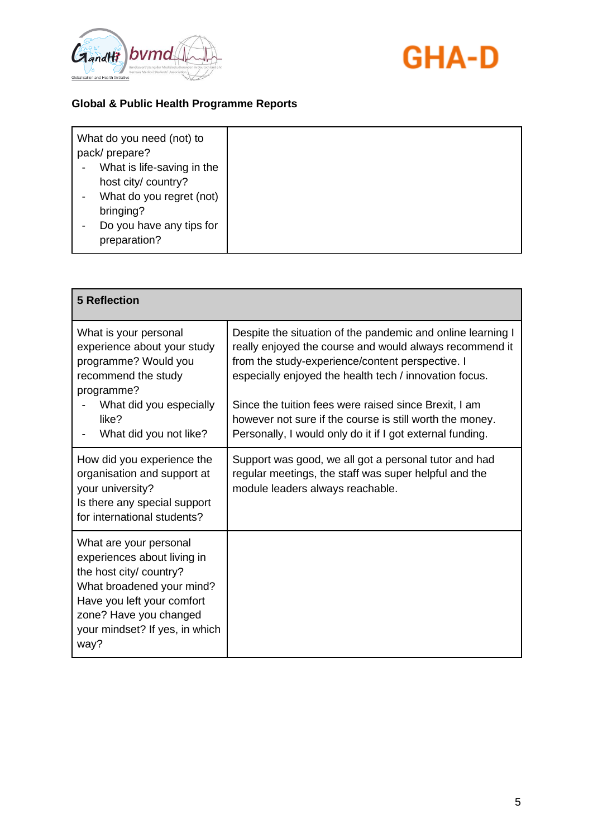



| What do you need (not) to<br>pack/prepare?<br>What is life-saving in the<br>host city/ country? |  |
|-------------------------------------------------------------------------------------------------|--|
| What do you regret (not)<br>bringing?<br>Do you have any tips for<br>preparation?               |  |

| <b>5 Reflection</b>                                                                                                                                                                                             |                                                                                                                                                                                                                                                                                                                                                           |
|-----------------------------------------------------------------------------------------------------------------------------------------------------------------------------------------------------------------|-----------------------------------------------------------------------------------------------------------------------------------------------------------------------------------------------------------------------------------------------------------------------------------------------------------------------------------------------------------|
| What is your personal<br>experience about your study<br>programme? Would you<br>recommend the study<br>programme?<br>What did you especially<br>like?                                                           | Despite the situation of the pandemic and online learning I<br>really enjoyed the course and would always recommend it<br>from the study-experience/content perspective. I<br>especially enjoyed the health tech / innovation focus.<br>Since the tuition fees were raised since Brexit, I am<br>however not sure if the course is still worth the money. |
| What did you not like?                                                                                                                                                                                          | Personally, I would only do it if I got external funding.                                                                                                                                                                                                                                                                                                 |
| How did you experience the<br>organisation and support at<br>your university?<br>Is there any special support<br>for international students?                                                                    | Support was good, we all got a personal tutor and had<br>regular meetings, the staff was super helpful and the<br>module leaders always reachable.                                                                                                                                                                                                        |
| What are your personal<br>experiences about living in<br>the host city/ country?<br>What broadened your mind?<br>Have you left your comfort<br>zone? Have you changed<br>your mindset? If yes, in which<br>way? |                                                                                                                                                                                                                                                                                                                                                           |